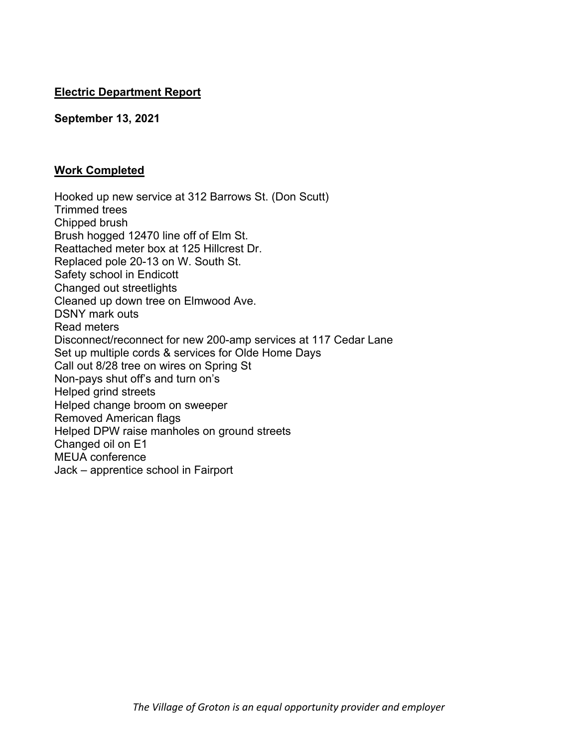# **Electric Department Report**

## **September 13, 2021**

# **Work Completed**

at 125 Hillcrest Dr.<br>
In W. South St.<br>
oft<br>
this<br>
on Elmwood Ave.<br>
for new 200-amp services at 117 Cedar Lane<br>
it is services for Olde Home Days<br>
ites on Spring St<br>
d turn on's<br>
on sweeper<br>
ligs<br>
nholes on ground streets<br> Hooked up new service at 312 Barrows St. (Don Scutt) Trimmed trees Chipped brush Brush hogged 12470 line off of Elm St. Reattached meter box at 125 Hillcrest Dr. Replaced pole 20-13 on W. South St. Safety school in Endicott Changed out streetlights Cleaned up down tree on Elmwood Ave. DSNY mark outs Read meters Disconnect/reconnect for new 200-amp services at 117 Cedar Lane Set up multiple cords & services for Olde Home Days Call out 8/28 tree on wires on Spring St Non-pays shut off's and turn on's Helped grind streets Helped change broom on sweeper Removed American flags Helped DPW raise manholes on ground streets Changed oil on E1 MEUA conference Jack – apprentice school in Fairport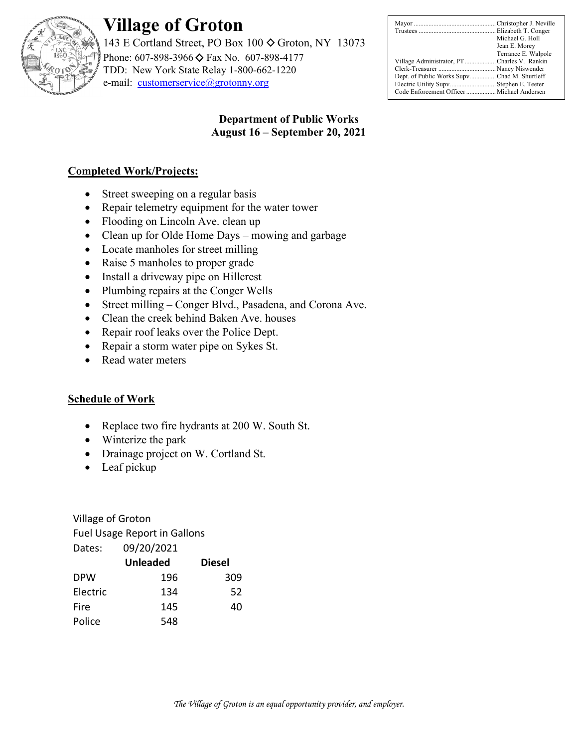

# **Village of Groton**

143 E Cortland Street, PO Box 100  $\diamond$  Groton, NY 13073 Phone: 607-898-3966 ♦ Fax No. 607-898-4177 TDD: New York State Relay 1-800-662-1220 e-mail: customerservice@grotonny.org

|                                             | Michael G. Holl     |
|---------------------------------------------|---------------------|
|                                             | Jean E. Morey       |
|                                             | Terrance E. Walpole |
| Village Administrator, PTCharles V. Rankin  |                     |
|                                             |                     |
| Dept. of Public Works SupvChad M. Shurtleff |                     |
| Electric Utility Supv Stephen E. Teeter     |                     |
|                                             |                     |

# **Department of Public Works August 16 – September 20, 2021**

# **Completed Work/Projects:**

- Street sweeping on a regular basis
- Repair telemetry equipment for the water tower
- Flooding on Lincoln Ave. clean up
- Clean up for Olde Home Days mowing and garbage
- Locate manholes for street milling
- Raise 5 manholes to proper grade
- Install a driveway pipe on Hillcrest
- Plumbing repairs at the Conger Wells
- les for street milling<br>
ples to proper grade<br>
way pipe on Hillcrest<br>
irs at the Conger Wells<br>
 Conger Blvd., Pasadena, and Corona Ave.<br>
k behind Baken Ave. houses<br>
aks over the Police Dept.<br>
1 water pipe on Sykes St.<br>
ete Street milling – Conger Blvd., Pasadena, and Corona Ave.
- Clean the creek behind Baken Ave. houses
- Repair roof leaks over the Police Dept.
- Repair a storm water pipe on Sykes St.
- Read water meters

# **Schedule of Work**

- Replace two fire hydrants at 200 W. South St.
- Winterize the park
- Drainage project on W. Cortland St.
- Leaf pickup

Village of Groton

Fuel Usage Report in Gallons

| Dates:   | 09/20/2021      |               |
|----------|-----------------|---------------|
|          | <b>Unleaded</b> | <b>Diesel</b> |
| DPW      | 196             | 309           |
| Electric | 134             | 52            |
| Fire     | 145             | 40            |
| Police   | 548             |               |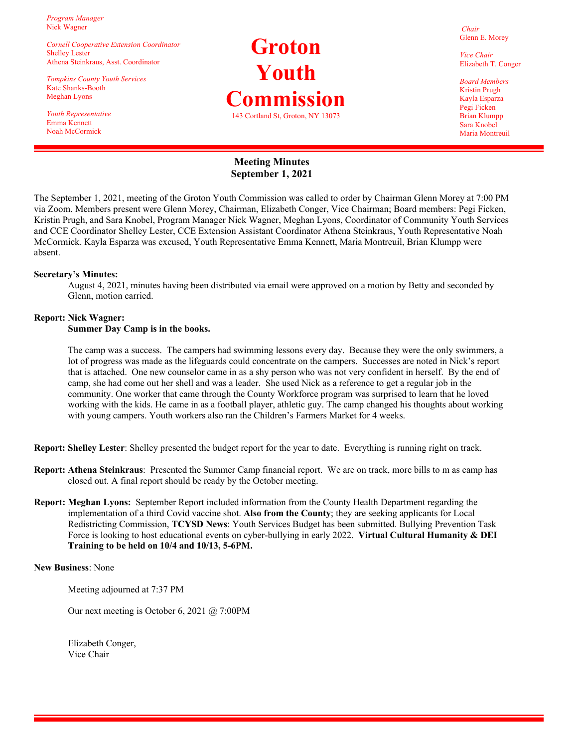*Program Manager*  Nick Wagner

*Cornell Cooperative Extension Coordinator*  Shelley Lester Athena Steinkraus, Asst. Coordinator

*Tompkins County Youth Services*  Kate Shanks-Booth Meghan Lyons

*Youth Representative*  Emma Kennett Noah McCormick

# **Groton Youth Commission**  143 Cortland St, Groton, NY 13073

*Chair*  Glenn E. Morey

*Vice Chair*  Elizabeth T. Conger

*Board Members*  Kristin Prugh Kayla Esparza Pegi Ficken Brian Klumpp Sara Knobel Maria Montreuil

#### **Meeting Minutes September 1, 2021**

The September 1, 2021, meeting of the Groton Youth Commission was called to order by Chairman Glenn Morey at 7:00 PM via Zoom. Members present were Glenn Morey, Chairman, Elizabeth Conger, Vice Chairman; Board members: Pegi Ficken, Kristin Prugh, and Sara Knobel, Program Manager Nick Wagner, Meghan Lyons, Coordinator of Community Youth Services and CCE Coordinator Shelley Lester, CCE Extension Assistant Coordinator Athena Steinkraus, Youth Representative Noah McCormick. Kayla Esparza was excused, Youth Representative Emma Kennett, Maria Montreuil, Brian Klumpp were absent.

#### **Secretary's Minutes:**

August 4, 2021, minutes having been distributed via email were approved on a motion by Betty and seconded by Glenn, motion carried.

#### **Report: Nick Wagner:**

#### **Summer Day Camp is in the books.**

aving been distributed via email were approved on a motion by B<br>the books.<br>The campers had swimming lessons every day. Because they were<br>sate the lifeguards could concentrate on the campers. Successes are<br>counselor came in The camp was a success. The campers had swimming lessons every day. Because they were the only swimmers, a lot of progress was made as the lifeguards could concentrate on the campers. Successes are noted in Nick's report that is attached. One new counselor came in as a shy person who was not very confident in herself. By the end of camp, she had come out her shell and was a leader. She used Nick as a reference to get a regular job in the community. One worker that came through the County Workforce program was surprised to learn that he loved working with the kids. He came in as a football player, athletic guy. The camp changed his thoughts about working with young campers. Youth workers also ran the Children's Farmers Market for 4 weeks.

**Report: Shelley Lester**: Shelley presented the budget report for the year to date. Everything is running right on track.

- **Report: Athena Steinkraus**: Presented the Summer Camp financial report. We are on track, more bills to m as camp has closed out. A final report should be ready by the October meeting.
- **Report: Meghan Lyons:** September Report included information from the County Health Department regarding the implementation of a third Covid vaccine shot. **Also from the County**; they are seeking applicants for Local Redistricting Commission, **TCYSD News**: Youth Services Budget has been submitted. Bullying Prevention Task Force is looking to host educational events on cyber-bullying in early 2022. **Virtual Cultural Humanity & DEI Training to be held on 10/4 and 10/13, 5-6PM.**

#### **New Business**: None

Meeting adjourned at 7:37 PM

Our next meeting is October 6, 2021 @ 7:00PM

 Elizabeth Conger, Vice Chair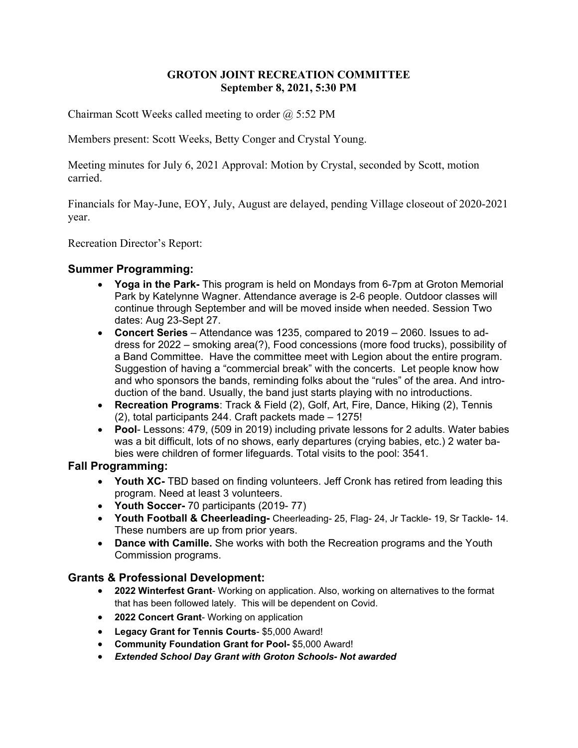# **GROTON JOINT RECREATION COMMITTEE September 8, 2021, 5:30 PM**

Chairman Scott Weeks called meeting to order  $\omega$  5:52 PM

Members present: Scott Weeks, Betty Conger and Crystal Young.

Meeting minutes for July 6, 2021 Approval: Motion by Crystal, seconded by Scott, motion carried.

Financials for May-June, EOY, July, August are delayed, pending Village closeout of 2020-2021 year.

Recreation Director's Report:

## **Summer Programming:**

- **Yoga in the Park-** This program is held on Mondays from 6-7pm at Groton Memorial Park by Katelynne Wagner. Attendance average is 2-6 people. Outdoor classes will continue through September and will be moved inside when needed. Session Two dates: Aug 23-Sept 27.
- **ning:**<br> **i Park-** This program is held on Mondays from 6-7pm<br>
telynne Wagner. Attendance average is 2-6 people. On<br>
cough September and will be moved inside when need<br>
23-Sept 27.<br> **iries** Attendance was 1235, compar **Concert Series** – Attendance was 1235, compared to 2019 – 2060. Issues to address for 2022 – smoking area(?), Food concessions (more food trucks), possibility of a Band Committee. Have the committee meet with Legion about the entire program. Suggestion of having a "commercial break" with the concerts. Let people know how and who sponsors the bands, reminding folks about the "rules" of the area. And introduction of the band. Usually, the band just starts playing with no introductions.
- **Recreation Programs**: Track & Field (2), Golf, Art, Fire, Dance, Hiking (2), Tennis (2), total participants 244. Craft packets made – 1275!
- **Pool** Lessons: 479, (509 in 2019) including private lessons for 2 adults. Water babies was a bit difficult, lots of no shows, early departures (crying babies, etc.) 2 water babies were children of former lifeguards. Total visits to the pool: 3541.

### **Fall Programming:**

- **Youth XC-** TBD based on finding volunteers. Jeff Cronk has retired from leading this program. Need at least 3 volunteers.
- **Youth Soccer-** 70 participants (2019- 77)
- **Youth Football & Cheerleading-** Cheerleading- 25, Flag- 24, Jr Tackle- 19, Sr Tackle- 14. These numbers are up from prior years.
- **Dance with Camille.** She works with both the Recreation programs and the Youth Commission programs.

### **Grants & Professional Development:**

- **2022 Winterfest Grant** Working on application. Also, working on alternatives to the format that has been followed lately. This will be dependent on Covid.
- **2022 Concert Grant** Working on application
- **Legacy Grant for Tennis Courts** \$5,000 Award!
- **Community Foundation Grant for Pool-** \$5,000 Award!
- *Extended School Day Grant with Groton Schools- Not awarded*